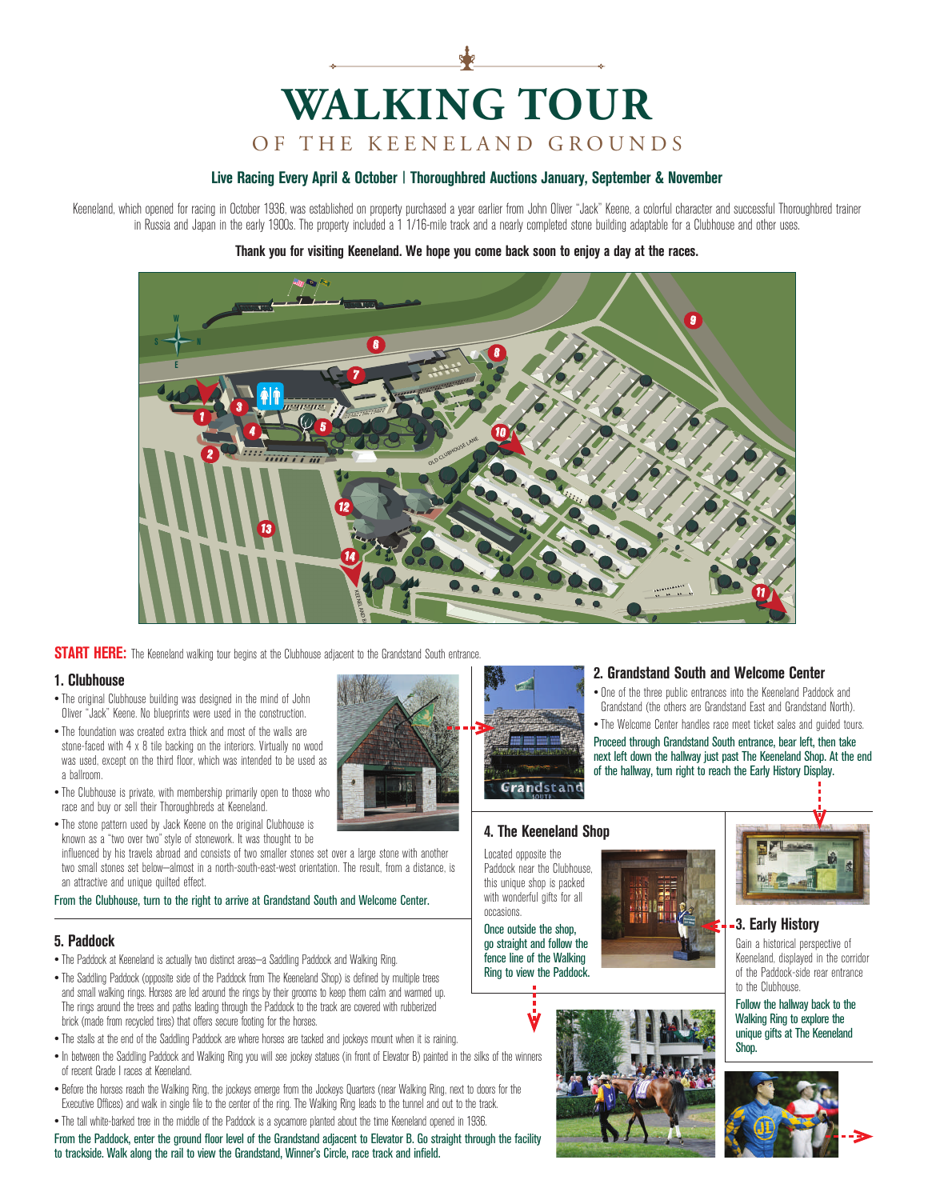# **WALKING TOUR** OF THE KEENELAND GROUNDS

### **Live Racing Every April & October | Thoroughbred Auctions January, September & November**

Keeneland, which opened for racing in October 1936, was established on property purchased a year earlier from John Oliver "Jack" Keene, a colorful character and successful Thoroughbred trainer in Russia and Japan in the early 1900s. The property included a 1 1/16-mile track and a nearly completed stone building adaptable for a Clubhouse and other uses.

#### **Thank you for visiting Keeneland. We hope you come back soon to enjoy a day at the races.**



**START HERE:** The Keeneland walking tour begins at the Clubhouse adjacent to the Grandstand South entrance.

#### **1. Clubhouse**

- The original Clubhouse building was designed in the mind of John Oliver "Jack" Keene. No blueprints were used in the construction.
- The foundation was created extra thick and most of the walls are stone-faced with 4 x 8 tile backing on the interiors. Virtually no wood was used, except on the third floor, which was intended to be used as a hallmom.
- The Clubhouse is private, with membership primarily open to those who race and buy or sell their Thoroughbreds at Keeneland.
- race and buy or sell their Thoroughbreds at Keeneland.<br>• The stone pattern used by Jack Keene on the original Clubhouse is known as a "two over two" style of stonework. It was thought to be

influenced by his travels abroad and consists of two smaller stones set over a large stone with another two small stones set below—almost in a north-south-east-west orientation. The result, from a distance, is an attractive and unique quilted effect.

#### From the Clubhouse, turn to the right to arrive at Grandstand South and Welcome Center.

## **5. Paddock**

- The Paddock at Keeneland is actually two distinct areas—a Saddling Paddock and Walking Ring.
- The Saddling Paddock (opposite side of the Paddock from The Keeneland Shop) is defined by multiple trees and small walking rings. Horses are led around the rings by their grooms to keep them calm and warmed up. The rings around the trees and paths leading through the Paddock to the track are covered with rubberized brick (made from recycled tires) that offers secure footing for the horses.
- The stalls at the end of the Saddling Paddock are where horses are tacked and jockeys mount when it is raining.
- In between the Saddling Paddock and Walking Ring you will see jockey statues (in front of Elevator B) painted in the silks of the winners of recent Grade I races at Keeneland.
- Before the horses reach the Walking Ring, the jockeys emerge from the Jockeys Quarters (near Walking Ring, next to doors for the Executive Offices) and walk in single file to the center of the ring. The Walking Ring leads to the tunnel and out to the track.
- The tall white-barked tree in the middle of the Paddock is a sycamore planted about the time Keeneland opened in 1936.

From the Paddock, enter the ground floor level of the Grandstand adjacent to Elevator B. Go straight through the facility to trackside. Walk along the rail to view the Grandstand, Winner's Circle, race track and infield.



#### **2. Grandstand South and Welcome Center**

• One of the three public entrances into the Keeneland Paddock and Grandstand (the others are Grandstand East and Grandstand North). • The Welcome Center handles race meet ticket sales and guided tours.

Proceed through Grandstand South entrance, bear left, then take next left down the hallway just past The Keeneland Shop. At the end of the hallway, turn right to reach the Early History Display.

Grandstand

## **4. The Keeneland Shop**

Located opposite the Paddock near the Clubhouse, this unique shop is packed with wonderful gifts for all occasions.

Once outside the shop, go straight and follow the fence line of the Walking Ring to view the Paddock.





#### **3. Early History**

Gain a historical perspective of Keeneland, displayed in the corridor of the Paddock-side rear entrance to the Clubhouse.

Follow the hallway back to the Walking Ring to explore the unique gifts at The Keeneland Shop.